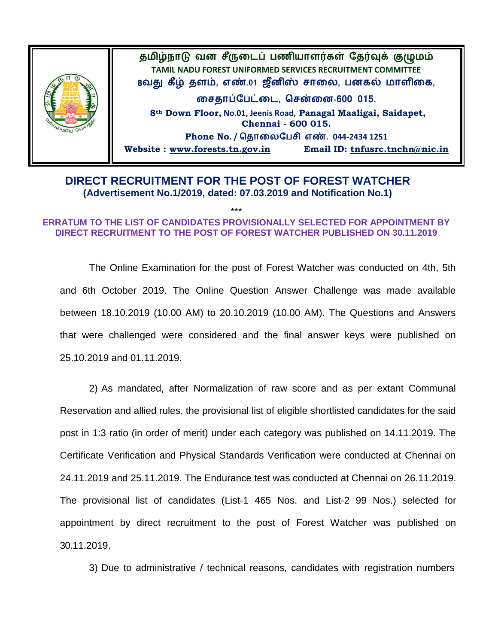

## **DIRECT RECRUITMENT FOR THE POST OF FOREST WATCHER (Advertisement No.1/2019, dated: 07.03.2019 and Notification No.1)**

## \*\*\* **ERRATUM TO THE LIST OF CANDIDATES PROVISIONALLY SELECTED FOR APPOINTMENT BY DIRECT RECRUITMENT TO THE POST OF FOREST WATCHER PUBLISHED ON 30.11.2019**

The Online Examination for the post of Forest Watcher was conducted on 4th, 5th and 6th October 2019. The Online Question Answer Challenge was made available between 18.10.2019 (10.00 AM) to 20.10.2019 (10.00 AM). The Questions and Answers that were challenged were considered and the final answer keys were published on 25.10.2019 and 01.11.2019.

2) As mandated, after Normalization of raw score and as per extant Communal Reservation and allied rules, the provisional list of eligible shortlisted candidates for the said post in 1:3 ratio (in order of merit) under each category was published on 14.11.2019. The Certificate Verification and Physical Standards Verification were conducted at Chennai on 24.11.2019 and 25.11.2019. The Endurance test was conducted at Chennai on 26.11.2019. The provisional list of candidates (List-1 465 Nos. and List-2 99 Nos.) selected for appointment by direct recruitment to the post of Forest Watcher was published on 30.11.2019.

3) Due to administrative / technical reasons, candidates with registration numbers